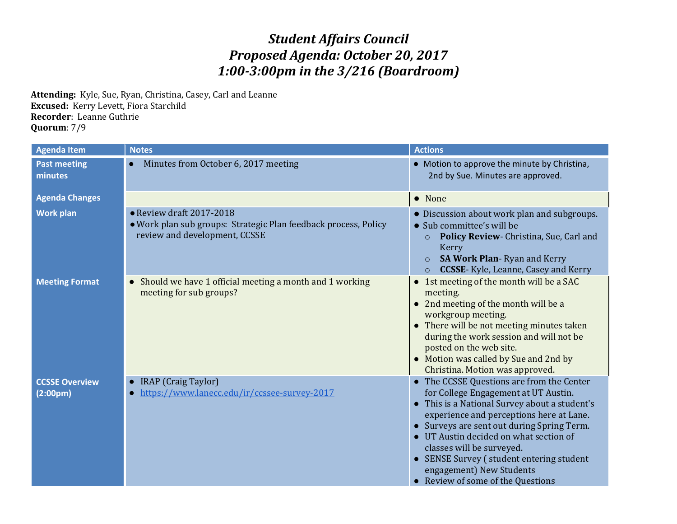## *Student Affairs Council Proposed Agenda: October 20, 2017 1:00-3:00pm in the 3/216 (Boardroom)*

**Attending:** Kyle, Sue, Ryan, Christina, Casey, Carl and Leanne **Excused:** Kerry Levett, Fiora Starchild **Recorder**: Leanne Guthrie **Quorum**: 7/9

| <b>Agenda Item</b>                | <b>Notes</b>                                                                                                                 | <b>Actions</b>                                                                                                                                                                                                                                                                                                                                                                                                                 |
|-----------------------------------|------------------------------------------------------------------------------------------------------------------------------|--------------------------------------------------------------------------------------------------------------------------------------------------------------------------------------------------------------------------------------------------------------------------------------------------------------------------------------------------------------------------------------------------------------------------------|
| <b>Past meeting</b><br>minutes    | Minutes from October 6, 2017 meeting                                                                                         | • Motion to approve the minute by Christina,<br>2nd by Sue. Minutes are approved.                                                                                                                                                                                                                                                                                                                                              |
| <b>Agenda Changes</b>             |                                                                                                                              | • None                                                                                                                                                                                                                                                                                                                                                                                                                         |
| <b>Work plan</b>                  | • Review draft 2017-2018<br>· Work plan sub groups: Strategic Plan feedback process, Policy<br>review and development, CCSSE | • Discussion about work plan and subgroups.<br>• Sub committee's will be<br>Policy Review- Christina, Sue, Carl and<br>$\circ$<br>Kerry<br><b>SA Work Plan-Ryan and Kerry</b><br><b>CCSSE-</b> Kyle, Leanne, Casey and Kerry<br>$\circ$                                                                                                                                                                                        |
| <b>Meeting Format</b>             | Should we have 1 official meeting a month and 1 working<br>$\bullet$<br>meeting for sub groups?                              | 1st meeting of the month will be a SAC<br>$\bullet$<br>meeting.<br>2nd meeting of the month will be a<br>workgroup meeting.<br>• There will be not meeting minutes taken<br>during the work session and will not be<br>posted on the web site.<br>Motion was called by Sue and 2nd by<br>Christina. Motion was approved.                                                                                                       |
| <b>CCSSE Overview</b><br>(2:00pm) | IRAP (Craig Taylor)<br>https://www.lanecc.edu/ir/ccssee-survey-2017                                                          | The CCSSE Questions are from the Center<br>for College Engagement at UT Austin.<br>This is a National Survey about a student's<br>$\bullet$<br>experience and perceptions here at Lane.<br>Surveys are sent out during Spring Term.<br>UT Austin decided on what section of<br>classes will be surveyed.<br>SENSE Survey (student entering student<br>$\bullet$<br>engagement) New Students<br>Review of some of the Questions |